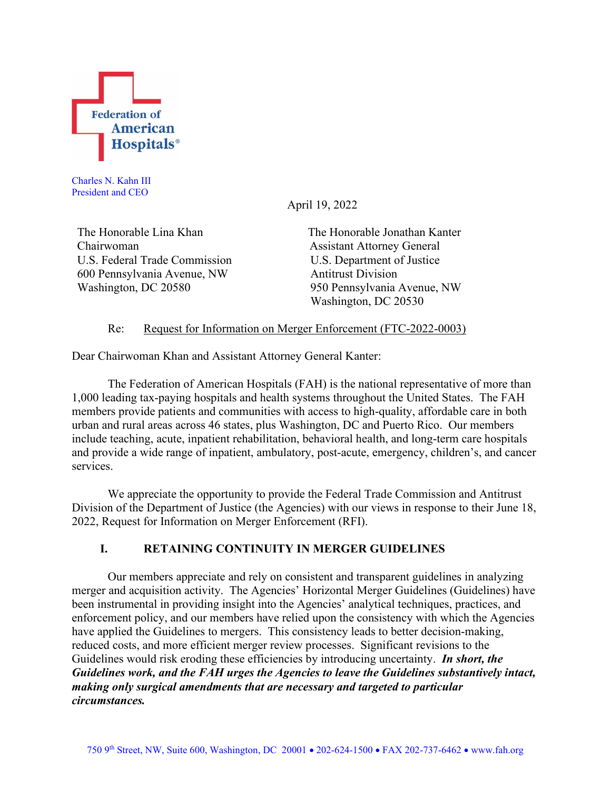

Charles N. Kahn III President and CEO

April 19, 2022

The Honorable Lina Khan The Honorable Jonathan Kanter Chairwoman Assistant Attorney General U.S. Federal Trade Commission 600 Pennsylvania Avenue, NW Washington, DC 20580

U.S. Department of Justice Antitrust Division 950 Pennsylvania Avenue, NW Washington, DC 20530

# Re: Request for Information on Merger Enforcement (FTC-2022-0003)

Dear Chairwoman Khan and Assistant Attorney General Kanter:

The Federation of American Hospitals (FAH) is the national representative of more than 1,000 leading tax-paying hospitals and health systems throughout the United States. The FAH members provide patients and communities with access to high-quality, affordable care in both urban and rural areas across 46 states, plus Washington, DC and Puerto Rico. Our members include teaching, acute, inpatient rehabilitation, behavioral health, and long-term care hospitals and provide a wide range of inpatient, ambulatory, post-acute, emergency, children's, and cancer services.

We appreciate the opportunity to provide the Federal Trade Commission and Antitrust Division of the Department of Justice (the Agencies) with our views in response to their June 18, 2022, Request for Information on Merger Enforcement (RFI).

# **I. RETAINING CONTINUITY IN MERGER GUIDELINES**

Our members appreciate and rely on consistent and transparent guidelines in analyzing merger and acquisition activity. The Agencies' Horizontal Merger Guidelines (Guidelines) have been instrumental in providing insight into the Agencies' analytical techniques, practices, and enforcement policy, and our members have relied upon the consistency with which the Agencies have applied the Guidelines to mergers. This consistency leads to better decision-making, reduced costs, and more efficient merger review processes. Significant revisions to the Guidelines would risk eroding these efficiencies by introducing uncertainty. *In short, the Guidelines work, and the FAH urges the Agencies to leave the Guidelines substantively intact, making only surgical amendments that are necessary and targeted to particular circumstances.*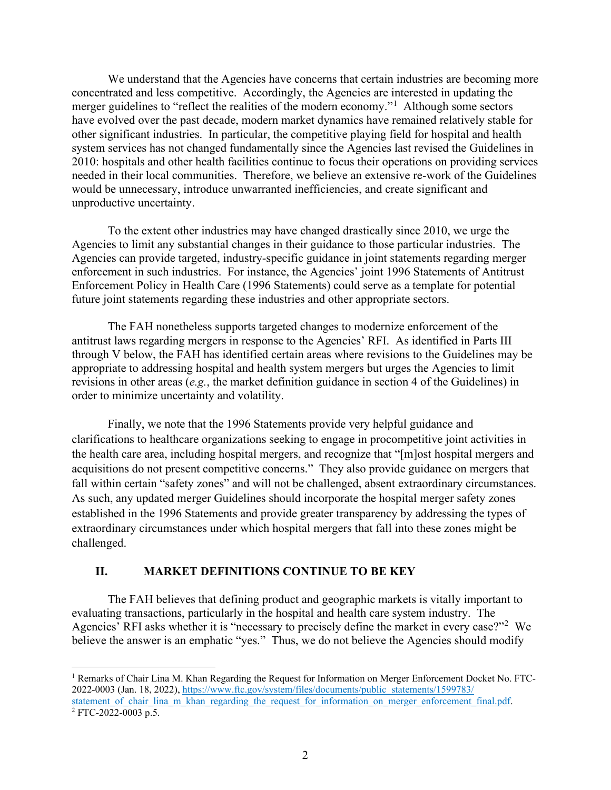We understand that the Agencies have concerns that certain industries are becoming more concentrated and less competitive. Accordingly, the Agencies are interested in updating the merger guidelines to "reflect the realities of the modern economy."<sup>[1](#page-1-0)</sup> Although some sectors have evolved over the past decade, modern market dynamics have remained relatively stable for other significant industries. In particular, the competitive playing field for hospital and health system services has not changed fundamentally since the Agencies last revised the Guidelines in 2010: hospitals and other health facilities continue to focus their operations on providing services needed in their local communities. Therefore, we believe an extensive re-work of the Guidelines would be unnecessary, introduce unwarranted inefficiencies, and create significant and unproductive uncertainty.

To the extent other industries may have changed drastically since 2010, we urge the Agencies to limit any substantial changes in their guidance to those particular industries. The Agencies can provide targeted, industry-specific guidance in joint statements regarding merger enforcement in such industries. For instance, the Agencies' joint 1996 Statements of Antitrust Enforcement Policy in Health Care (1996 Statements) could serve as a template for potential future joint statements regarding these industries and other appropriate sectors.

The FAH nonetheless supports targeted changes to modernize enforcement of the antitrust laws regarding mergers in response to the Agencies' RFI. As identified in Parts III through V below, the FAH has identified certain areas where revisions to the Guidelines may be appropriate to addressing hospital and health system mergers but urges the Agencies to limit revisions in other areas (*e.g.*, the market definition guidance in section 4 of the Guidelines) in order to minimize uncertainty and volatility.

Finally, we note that the 1996 Statements provide very helpful guidance and clarifications to healthcare organizations seeking to engage in procompetitive joint activities in the health care area, including hospital mergers, and recognize that "[m]ost hospital mergers and acquisitions do not present competitive concerns." They also provide guidance on mergers that fall within certain "safety zones" and will not be challenged, absent extraordinary circumstances. As such, any updated merger Guidelines should incorporate the hospital merger safety zones established in the 1996 Statements and provide greater transparency by addressing the types of extraordinary circumstances under which hospital mergers that fall into these zones might be challenged.

# **II. MARKET DEFINITIONS CONTINUE TO BE KEY**

The FAH believes that defining product and geographic markets is vitally important to evaluating transactions, particularly in the hospital and health care system industry. The Agencies' RFI asks whether it is "necessary to precisely define the market in every case?"<sup>[2](#page-1-1)</sup> We believe the answer is an emphatic "yes." Thus, we do not believe the Agencies should modify

<span id="page-1-1"></span><span id="page-1-0"></span><sup>1</sup> Remarks of Chair Lina M. Khan Regarding the Request for Information on Merger Enforcement Docket No. FTC-2022-0003 (Jan. 18, 2022), [https://www.ftc.gov/system/files/documents/public\\_statements/1599783/](https://www.ftc.gov/system/files/documents/public_statements/1599783/statement_of_chair_lina_m_khan_regarding_the_request_for_information_on_merger_enforcement_final.pdf) [statement\\_of\\_chair\\_lina\\_m\\_khan\\_regarding\\_the\\_request\\_for\\_information\\_on\\_merger\\_enforcement\\_final.pdf.](https://www.ftc.gov/system/files/documents/public_statements/1599783/statement_of_chair_lina_m_khan_regarding_the_request_for_information_on_merger_enforcement_final.pdf)  $2 FTC-2022-0003 p.5.$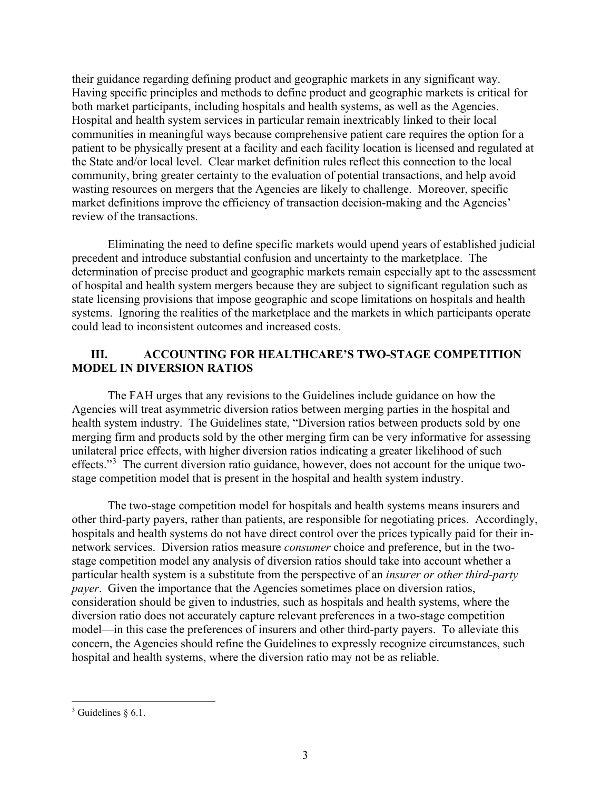their guidance regarding defining product and geographic markets in any significant way. Having specific principles and methods to define product and geographic markets is critical for both market participants, including hospitals and health systems, as well as the Agencies. Hospital and health system services in particular remain inextricably linked to their local communities in meaningful ways because comprehensive patient care requires the option for a patient to be physically present at a facility and each facility location is licensed and regulated at the State and/or local level. Clear market definition rules reflect this connection to the local community, bring greater certainty to the evaluation of potential transactions, and help avoid wasting resources on mergers that the Agencies are likely to challenge. Moreover, specific market definitions improve the efficiency of transaction decision-making and the Agencies' review of the transactions.

Eliminating the need to define specific markets would upend years of established judicial precedent and introduce substantial confusion and uncertainty to the marketplace. The determination of precise product and geographic markets remain especially apt to the assessment of hospital and health system mergers because they are subject to significant regulation such as state licensing provisions that impose geographic and scope limitations on hospitals and health systems. Ignoring the realities of the marketplace and the markets in which participants operate could lead to inconsistent outcomes and increased costs.

## **III. ACCOUNTING FOR HEALTHCARE'S TWO-STAGE COMPETITION MODEL IN DIVERSION RATIOS**

The FAH urges that any revisions to the Guidelines include guidance on how the Agencies will treat asymmetric diversion ratios between merging parties in the hospital and health system industry. The Guidelines state, "Diversion ratios between products sold by one merging firm and products sold by the other merging firm can be very informative for assessing unilateral price effects, with higher diversion ratios indicating a greater likelihood of such effects."<sup>[3](#page-2-0)</sup> The current diversion ratio guidance, however, does not account for the unique twostage competition model that is present in the hospital and health system industry.

The two-stage competition model for hospitals and health systems means insurers and other third-party payers, rather than patients, are responsible for negotiating prices. Accordingly, hospitals and health systems do not have direct control over the prices typically paid for their innetwork services. Diversion ratios measure *consumer* choice and preference, but in the twostage competition model any analysis of diversion ratios should take into account whether a particular health system is a substitute from the perspective of an *insurer or other third-party payer*. Given the importance that the Agencies sometimes place on diversion ratios, consideration should be given to industries, such as hospitals and health systems, where the diversion ratio does not accurately capture relevant preferences in a two-stage competition model—in this case the preferences of insurers and other third-party payers. To alleviate this concern, the Agencies should refine the Guidelines to expressly recognize circumstances, such hospital and health systems, where the diversion ratio may not be as reliable.

<span id="page-2-0"></span> $3$  Guidelines § 6.1.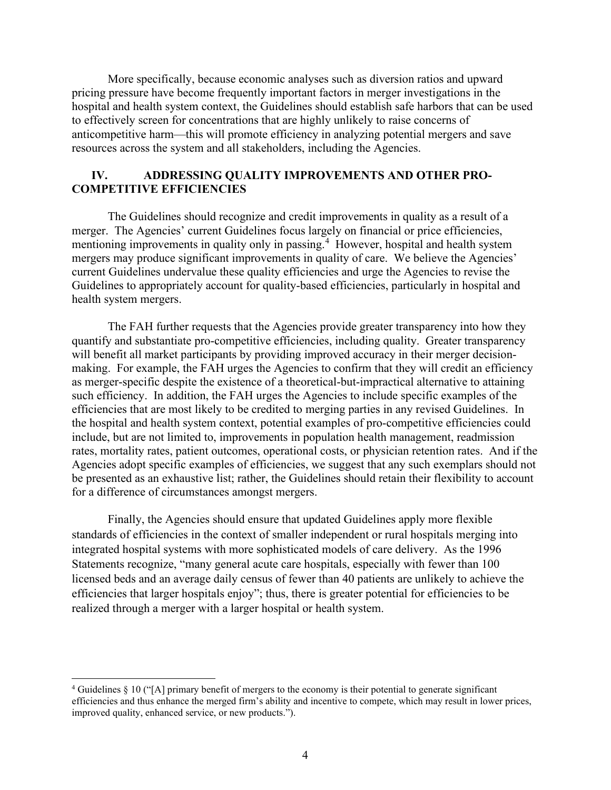More specifically, because economic analyses such as diversion ratios and upward pricing pressure have become frequently important factors in merger investigations in the hospital and health system context, the Guidelines should establish safe harbors that can be used to effectively screen for concentrations that are highly unlikely to raise concerns of anticompetitive harm—this will promote efficiency in analyzing potential mergers and save resources across the system and all stakeholders, including the Agencies.

### **IV. ADDRESSING QUALITY IMPROVEMENTS AND OTHER PRO-COMPETITIVE EFFICIENCIES**

The Guidelines should recognize and credit improvements in quality as a result of a merger. The Agencies' current Guidelines focus largely on financial or price efficiencies, mentioning improvements in quality only in passing.<sup>[4](#page-3-0)</sup> However, hospital and health system mergers may produce significant improvements in quality of care. We believe the Agencies' current Guidelines undervalue these quality efficiencies and urge the Agencies to revise the Guidelines to appropriately account for quality-based efficiencies, particularly in hospital and health system mergers.

The FAH further requests that the Agencies provide greater transparency into how they quantify and substantiate pro-competitive efficiencies, including quality. Greater transparency will benefit all market participants by providing improved accuracy in their merger decisionmaking. For example, the FAH urges the Agencies to confirm that they will credit an efficiency as merger-specific despite the existence of a theoretical-but-impractical alternative to attaining such efficiency. In addition, the FAH urges the Agencies to include specific examples of the efficiencies that are most likely to be credited to merging parties in any revised Guidelines. In the hospital and health system context, potential examples of pro-competitive efficiencies could include, but are not limited to, improvements in population health management, readmission rates, mortality rates, patient outcomes, operational costs, or physician retention rates. And if the Agencies adopt specific examples of efficiencies, we suggest that any such exemplars should not be presented as an exhaustive list; rather, the Guidelines should retain their flexibility to account for a difference of circumstances amongst mergers.

Finally, the Agencies should ensure that updated Guidelines apply more flexible standards of efficiencies in the context of smaller independent or rural hospitals merging into integrated hospital systems with more sophisticated models of care delivery. As the 1996 Statements recognize, "many general acute care hospitals, especially with fewer than 100 licensed beds and an average daily census of fewer than 40 patients are unlikely to achieve the efficiencies that larger hospitals enjoy"; thus, there is greater potential for efficiencies to be realized through a merger with a larger hospital or health system.

<span id="page-3-0"></span> $4$  Guidelines  $\frac{8}{3}$  10 ("[A] primary benefit of mergers to the economy is their potential to generate significant efficiencies and thus enhance the merged firm's ability and incentive to compete, which may result in lower prices, improved quality, enhanced service, or new products.").